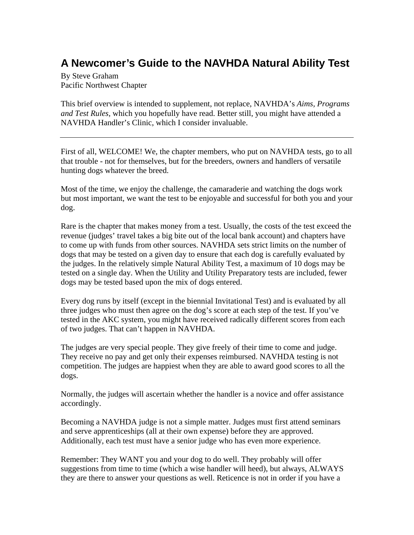## **A Newcomer's Guide to the NAVHDA Natural Ability Test**

By Steve Graham Pacific Northwest Chapter

This brief overview is intended to supplement, not replace, NAVHDA's *Aims, Programs and Test Rules,* which you hopefully have read. Better still, you might have attended a NAVHDA Handler's Clinic, which I consider invaluable.

First of all, WELCOME! We, the chapter members, who put on NAVHDA tests, go to all that trouble - not for themselves, but for the breeders, owners and handlers of versatile hunting dogs whatever the breed.

Most of the time, we enjoy the challenge, the camaraderie and watching the dogs work but most important, we want the test to be enjoyable and successful for both you and your dog.

Rare is the chapter that makes money from a test. Usually, the costs of the test exceed the revenue (judges' travel takes a big bite out of the local bank account) and chapters have to come up with funds from other sources. NAVHDA sets strict limits on the number of dogs that may be tested on a given day to ensure that each dog is carefully evaluated by the judges. In the relatively simple Natural Ability Test, a maximum of 10 dogs may be tested on a single day. When the Utility and Utility Preparatory tests are included, fewer dogs may be tested based upon the mix of dogs entered.

Every dog runs by itself (except in the biennial Invitational Test) and is evaluated by all three judges who must then agree on the dog's score at each step of the test. If you've tested in the AKC system, you might have received radically different scores from each of two judges. That can't happen in NAVHDA.

The judges are very special people. They give freely of their time to come and judge. They receive no pay and get only their expenses reimbursed. NAVHDA testing is not competition. The judges are happiest when they are able to award good scores to all the dogs.

Normally, the judges will ascertain whether the handler is a novice and offer assistance accordingly.

Becoming a NAVHDA judge is not a simple matter. Judges must first attend seminars and serve apprenticeships (all at their own expense) before they are approved. Additionally, each test must have a senior judge who has even more experience.

Remember: They WANT you and your dog to do well. They probably will offer suggestions from time to time (which a wise handler will heed), but always, ALWAYS they are there to answer your questions as well. Reticence is not in order if you have a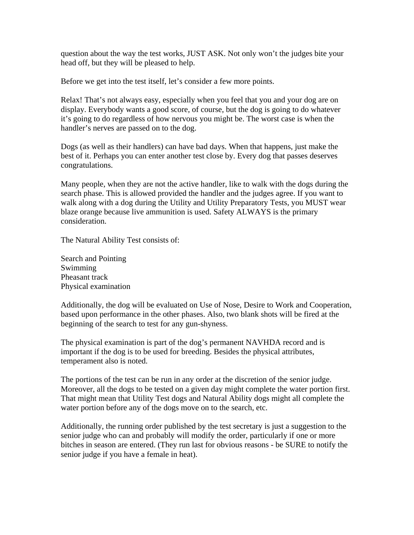question about the way the test works, JUST ASK. Not only won't the judges bite your head off, but they will be pleased to help.

Before we get into the test itself, let's consider a few more points.

Relax! That's not always easy, especially when you feel that you and your dog are on display. Everybody wants a good score, of course, but the dog is going to do whatever it's going to do regardless of how nervous you might be. The worst case is when the handler's nerves are passed on to the dog.

Dogs (as well as their handlers) can have bad days. When that happens, just make the best of it. Perhaps you can enter another test close by. Every dog that passes deserves congratulations.

Many people, when they are not the active handler, like to walk with the dogs during the search phase. This is allowed provided the handler and the judges agree. If you want to walk along with a dog during the Utility and Utility Preparatory Tests, you MUST wear blaze orange because live ammunition is used. Safety ALWAYS is the primary consideration.

The Natural Ability Test consists of:

Search and Pointing Swimming Pheasant track Physical examination

Additionally, the dog will be evaluated on Use of Nose, Desire to Work and Cooperation, based upon performance in the other phases. Also, two blank shots will be fired at the beginning of the search to test for any gun-shyness.

The physical examination is part of the dog's permanent NAVHDA record and is important if the dog is to be used for breeding. Besides the physical attributes, temperament also is noted.

The portions of the test can be run in any order at the discretion of the senior judge. Moreover, all the dogs to be tested on a given day might complete the water portion first. That might mean that Utility Test dogs and Natural Ability dogs might all complete the water portion before any of the dogs move on to the search, etc.

Additionally, the running order published by the test secretary is just a suggestion to the senior judge who can and probably will modify the order, particularly if one or more bitches in season are entered. (They run last for obvious reasons - be SURE to notify the senior judge if you have a female in heat).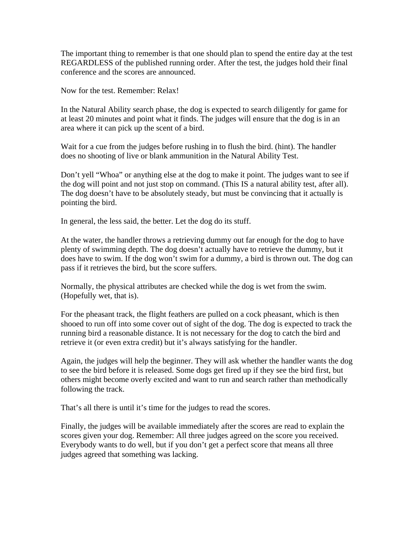The important thing to remember is that one should plan to spend the entire day at the test REGARDLESS of the published running order. After the test, the judges hold their final conference and the scores are announced.

Now for the test. Remember: Relax!

In the Natural Ability search phase, the dog is expected to search diligently for game for at least 20 minutes and point what it finds. The judges will ensure that the dog is in an area where it can pick up the scent of a bird.

Wait for a cue from the judges before rushing in to flush the bird. (hint). The handler does no shooting of live or blank ammunition in the Natural Ability Test.

Don't yell "Whoa" or anything else at the dog to make it point. The judges want to see if the dog will point and not just stop on command. (This IS a natural ability test, after all). The dog doesn't have to be absolutely steady, but must be convincing that it actually is pointing the bird.

In general, the less said, the better. Let the dog do its stuff.

At the water, the handler throws a retrieving dummy out far enough for the dog to have plenty of swimming depth. The dog doesn't actually have to retrieve the dummy, but it does have to swim. If the dog won't swim for a dummy, a bird is thrown out. The dog can pass if it retrieves the bird, but the score suffers.

Normally, the physical attributes are checked while the dog is wet from the swim. (Hopefully wet, that is).

For the pheasant track, the flight feathers are pulled on a cock pheasant, which is then shooed to run off into some cover out of sight of the dog. The dog is expected to track the running bird a reasonable distance. It is not necessary for the dog to catch the bird and retrieve it (or even extra credit) but it's always satisfying for the handler.

Again, the judges will help the beginner. They will ask whether the handler wants the dog to see the bird before it is released. Some dogs get fired up if they see the bird first, but others might become overly excited and want to run and search rather than methodically following the track.

That's all there is until it's time for the judges to read the scores.

Finally, the judges will be available immediately after the scores are read to explain the scores given your dog. Remember: All three judges agreed on the score you received. Everybody wants to do well, but if you don't get a perfect score that means all three judges agreed that something was lacking.